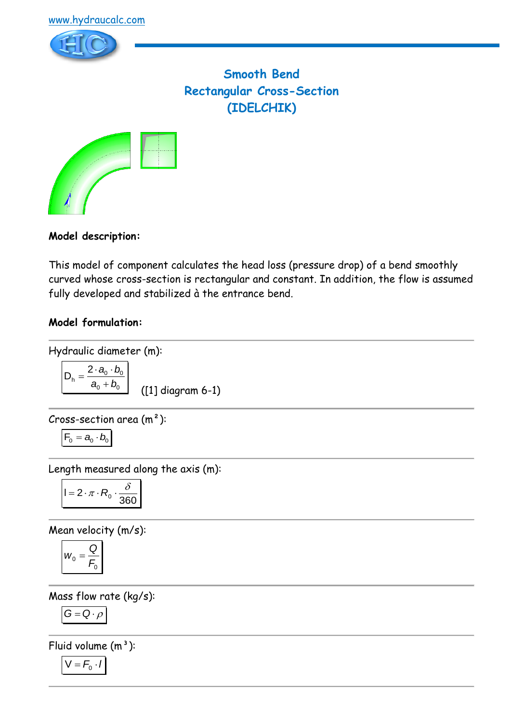

**Smooth Bend Rectangular Cross-Section (IDELCHIK)**



# **Model description:**

This model of component calculates the head loss (pressure drop) of a bend smoothly curved whose cross-section is rectangular and constant. In addition, the flow is assumed fully developed and stabilized à the entrance bend.

# **Model formulation:**

Hydraulic diameter (m):

$$
D_h = \frac{2 \cdot a_0 \cdot b_0}{a_0 + b_0}
$$
 (11) diagram 6-1)

Cross-section area  $(m<sup>2</sup>)$ :

$$
\boldsymbol{F}_0 = \boldsymbol{a}_0 \cdot \boldsymbol{b}_0
$$

Length measured along the axis (m):

$$
I = 2 \cdot \pi \cdot R_0 \cdot \frac{\delta}{360}
$$

Mean velocity (m/s):

$$
w_0 = \frac{Q}{F_0}
$$

Mass flow rate (kg/s):

$$
G=Q\cdot \rho
$$

Fluid volume  $(m^3)$ :

$$
V = F_0 \cdot I
$$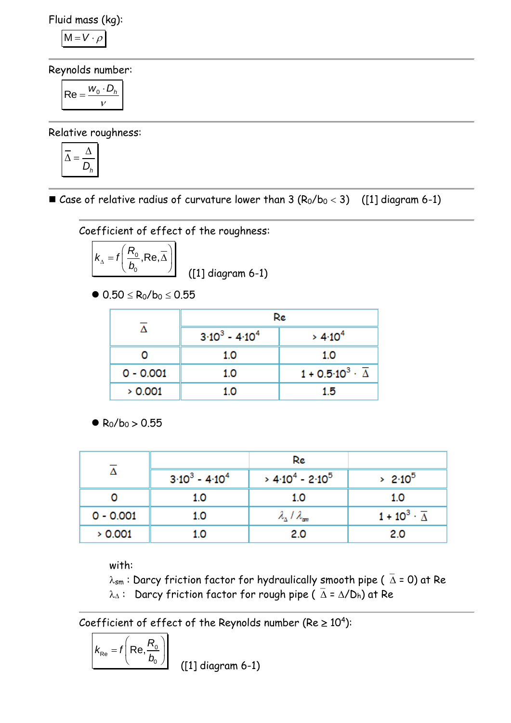Fluid mass (kg):

$$
M = V \cdot \rho
$$

Reynolds number:

$$
\mathsf{Re} = \frac{w_0 \cdot D_h}{v}
$$

Relative roughness:

$$
\overline{\Delta} = \frac{\Delta}{D_h}
$$

■ Case of relative radius of curvature lower than  $3 (R_0/b_0 < 3)$  ([1] diagram 6-1)

Coefficient of effect of the roughness:

$$
k_{\Delta} = f\left(\frac{R_0}{b_0}, \text{Re}, \overline{\Delta}\right)
$$
 (11) diagram 6-1)

 $\bullet$  0.50  $\leq$  R<sub>0</sub>/b<sub>0</sub>  $\leq$  0.55

|             | Re                |                                              |  |
|-------------|-------------------|----------------------------------------------|--|
|             | $3.10^3 - 4.10^4$ | > 4.10 <sup>4</sup>                          |  |
|             | 1.0               | 1.0                                          |  |
| $0 - 0.001$ | 1.0               | $1 + 0.5 \cdot 10^3 \cdot \overline{\Delta}$ |  |
| > 0.001     | 1.0               | 1.5                                          |  |

 $\bullet$  R<sub>0</sub>/b<sub>0</sub> > 0.55

|             |                               | Re                                      |                                    |
|-------------|-------------------------------|-----------------------------------------|------------------------------------|
|             | $3 \cdot 10^3 - 4 \cdot 10^4$ | $> 4.10^4 - 2.10^5$                     | $> 2.10^5$                         |
|             | 1.0                           | 1.0                                     | 1.0                                |
| $0 - 0.001$ | 1.0                           | $\lambda_{\Delta}$ / $\lambda_{\rm sm}$ | $1 + 10^3 \cdot \overline{\Delta}$ |
| > 0.001     | 1.0                           | 2.0                                     | 2.0                                |

with:

 $\lambda_{sm}$ : Darcy friction factor for hydraulically smooth pipe ( $\overline{\Delta}$  = 0) at Re  $\lambda_{\Delta}$ : Darcy friction factor for rough pipe ( $\overline{\Delta} = \Delta/D_h$ ) at Re

Coefficient of effect of the Reynolds number (Re  $\geq 10^4$ ):

$$
k_{\text{Re}} = f\left(\text{Re}, \frac{R_0}{b_0}\right)
$$

([1] diagram 6-1)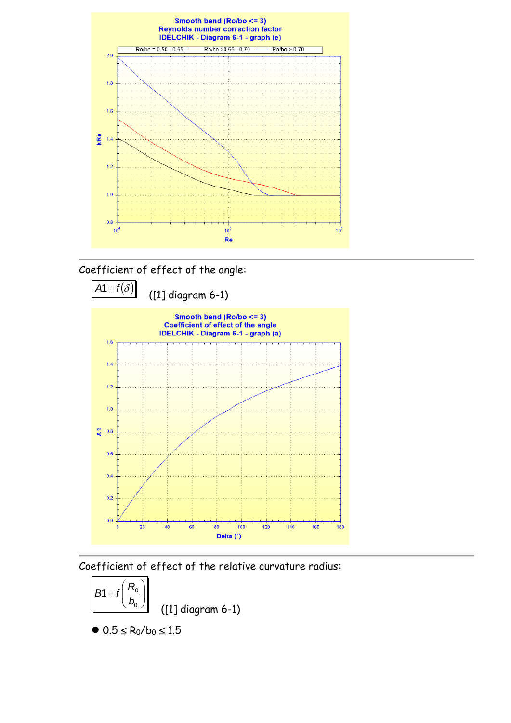





Coefficient of effect of the relative curvature radius:



 $\bullet$  0.5  $\leq$  R<sub>0</sub>/b<sub>0</sub>  $\leq$  1.5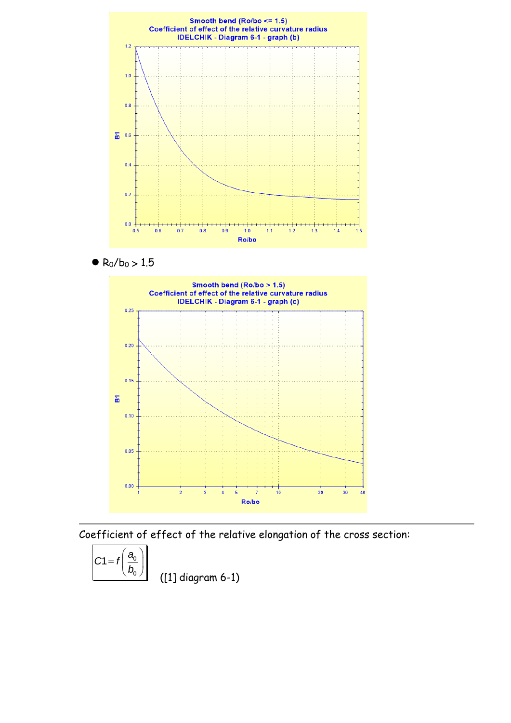

 $\bullet$  R<sub>0</sub>/b<sub>0</sub> > 1.5



Coefficient of effect of the relative elongation of the cross section:

$$
C1 = f\left(\frac{a_0}{b_0}\right)
$$

([1] diagram 6-1)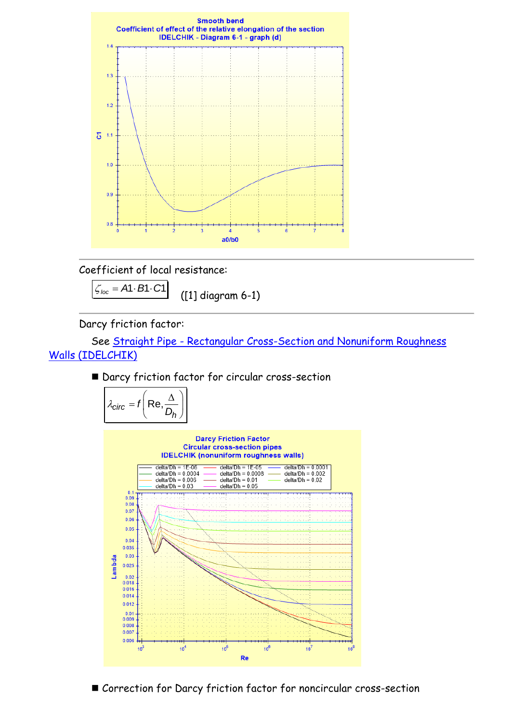

Coefficient of local resistance:

 $\zeta_{loc} = A1 \cdot B1 \cdot C1$ ([1] diagram 6-1)

Darcy friction factor:

 See Straight Pipe - [Rectangular Cross-Section and Nonuniform Roughness](../../Tuyau%20rectiligne/Tuyau%20rectiligne%20-%20Section%20rectangulaire/IDELCHIK%20(nonuniform%20roughness%20walls).htm)  [Walls \(IDELCHIK\)](../../Tuyau%20rectiligne/Tuyau%20rectiligne%20-%20Section%20rectangulaire/IDELCHIK%20(nonuniform%20roughness%20walls).htm)

■ Darcy friction factor for circular cross-section

$$
\lambda_{\text{circ}} = f\left(\text{Re}, \frac{\Delta}{D_h}\right)
$$



■ Correction for Darcy friction factor for noncircular cross-section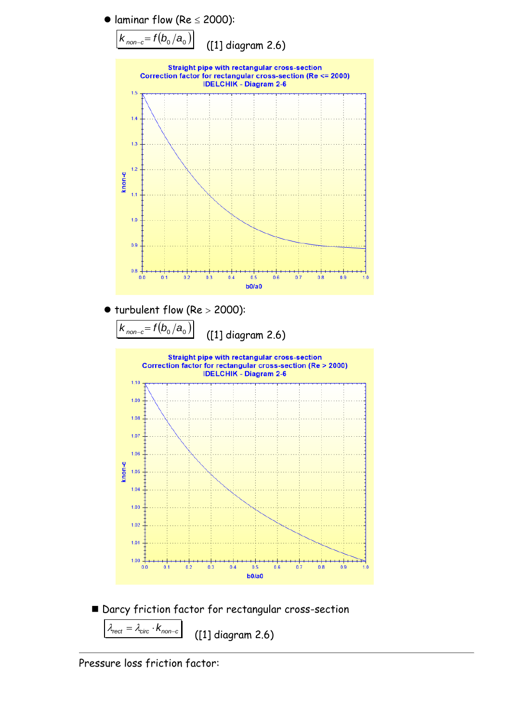

Pressure loss friction factor: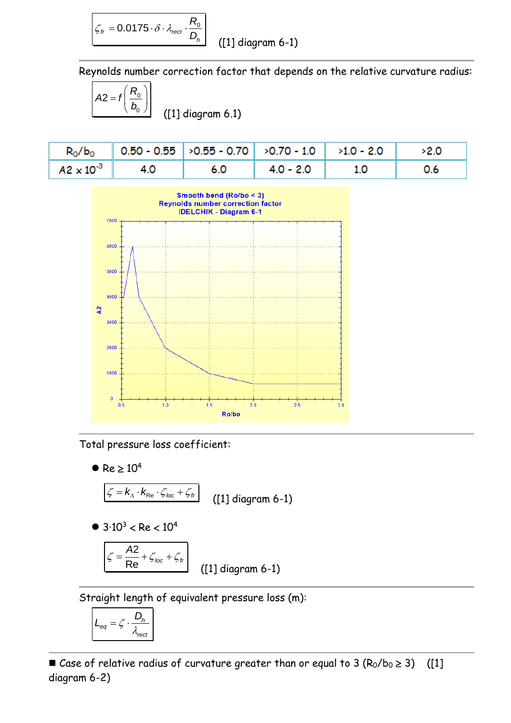$$
\zeta_{tr} = 0.0175 \cdot \delta \cdot \lambda_{rect} \cdot \frac{R_0}{D_h}
$$

([1] diagram 6-1)

Reynolds number correction factor that depends on the relative curvature radius:

$$
A2 = f\left(\frac{R_0}{b_0}\right)
$$
 (11) diagram 6.1)

|                         | $R_0/b_0$ 0.50 - 0.55 > 0.55 - 0.70 > 0.70 - 1.0 > 1.0 - 2.0 > 2.0 |                 |     |     |
|-------------------------|--------------------------------------------------------------------|-----------------|-----|-----|
| $A2 \times 10^{-3}$ 4.0 | $\begin{array}{ccc} \end{array}$ 6.0                               | $  4.0 - 2.0  $ | 1.0 | 0.6 |



Total pressure loss coefficient:

 $\bullet$  Re  $\geq 10^4$ 

 $\zeta = k_{\!\scriptscriptstyle \Delta} \cdot k_{\!\scriptscriptstyle \mathrm{Re}} \cdot \zeta_{\text{\it loc}} + \zeta_{\text{\it fr}}$ ([1] diagram 6-1)

 $\bullet$  3.10<sup>3</sup> < Re < 10<sup>4</sup>

$$
\zeta = \frac{A2}{\text{Re}} + \zeta_{\text{loc}} + \zeta_{\text{fr}}
$$
\n(11) diagram 6-1)

Straight length of equivalent pressure loss (m):

$$
L_{eq} = \zeta \cdot \frac{D_h}{\lambda_{rect}}
$$

■ Case of relative radius of curvature greater than or equal to 3  $(R_0/b_0 \ge 3)$  ([1] diagram 6-2)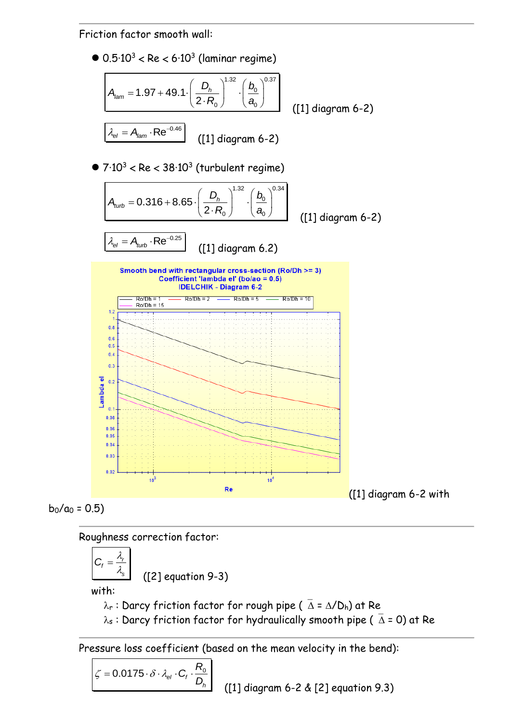Friction factor smooth wall:

 $\bullet$  0.5·10 $^3$  < Re < 6·10 $^3$  (laminar regime) 0.37  $D_h$   $\left| \begin{array}{c} b_0 \end{array} \right|$  $a_{\scriptscriptstyle 0}$  $A_{lam} = 1.97 + 49.1 \cdot \left(\frac{D_h}{2 \cdot R}\right)^{1.32} \cdot \left(\frac{b_0}{a}\right)^{0.37}$  $2.1$ *h*  $\left(\frac{b_h}{R_0}\right)^{1/2} \cdot \left(\frac{b_h}{a}\right)^{1/2}$  $\left(\begin{array}{c} D_{h}\end{array}\right)^{1.32}\left(\begin{array}{c} D_{0}\end{array}\right)^{0.37}$  $\left(\frac{D_h}{2 \cdot R_0}\right) \cdot \left(\frac{b_0}{a_0}\right)$  ([1] diagram 6-2)  $\lambda_{el} = A_{lam} \cdot \text{Re}^{-0.46}$ ([1] diagram 6-2)

 $\bullet$  7·10 $^3$  < Re < 38·10 $^3$  (turbulent regime)

$$
A_{turb} = 0.316 + 8.65 \cdot \left(\frac{D_h}{2 \cdot R_0}\right)^{1.32} \cdot \left(\frac{b_0}{a_0}\right)^{0.34}
$$
 (11) diagram 6-2)  

$$
\lambda_{el} = A_{turb} \cdot \text{Re}^{-0.25}
$$
 (11) diagram 6.2)





Roughness correction factor:

$$
C_f = \frac{\lambda_r}{\lambda_s}
$$

([2] equation 9-3)

with:

 $\lambda_r$ : Darcy friction factor for rough pipe ( $\overline{\Delta} = \Delta/D_h$ ) at Re

 $\lambda_s$ : Darcy friction factor for hydraulically smooth pipe ( $\bar{\Delta}$  = 0) at Re

Pressure loss coefficient (based on the mean velocity in the bend):

$$
\zeta = 0.0175 \cdot \delta \cdot \lambda_{el} \cdot C_f \cdot \frac{R_0}{D_h}
$$

([1] diagram 6-2 & [2] equation 9.3)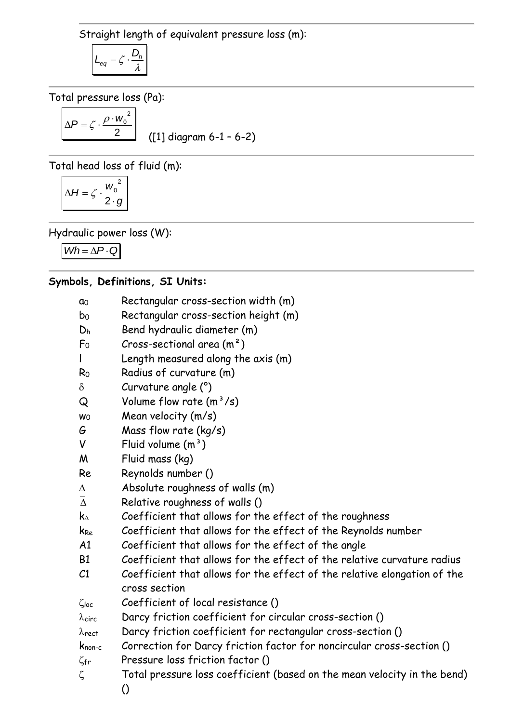Straight length of equivalent pressure loss (m):

$$
L_{eq} = \zeta \cdot \frac{D_h}{\lambda}
$$

Total pressure loss (Pa):

$$
\Delta P = \zeta \cdot \frac{\rho \cdot w_0^2}{2}
$$

([1] diagram 6-1 – 6-2)

Total head loss of fluid (m):

$$
\Delta H = \zeta \cdot \frac{w_0^2}{2 \cdot g}
$$

Hydraulic power loss (W):

 $Wh = \Delta P \cdot Q$ 

### **Symbols, Definitions, SI Units:**

- a<sup>0</sup> Rectangular cross-section width (m)
- b<sup>0</sup> Rectangular cross-section height (m)
- D<sup>h</sup> Bend hydraulic diameter (m)
- $F_0$  Cross-sectional area  $(m^2)$
- l Length measured along the axis (m)
- R<sup>0</sup> Radius of curvature (m)
- $\delta$  Curvature angle  $(^\circ)$
- $\Omega$  Volume flow rate  $(m^3/s)$
- $w_0$  Mean velocity  $(m/s)$
- G Mass flow rate (kg/s)
- $V$  Fluid volume  $(m<sup>3</sup>)$
- M Fluid mass (kg)
- Re Reynolds number ()
- $\Delta$  Absolute roughness of walls  $(m)$
- $\bar{\Delta}$  Relative roughness of walls ()
- $k_{\text{A}}$  Coefficient that allows for the effect of the roughness
- k<sub>Re</sub> Coefficient that allows for the effect of the Reynolds number
- A1 Coefficient that allows for the effect of the angle
- B1 Coefficient that allows for the effect of the relative curvature radius
- C1 Coefficient that allows for the effect of the relative elongation of the cross section
- $\zeta_{loc}$  Coefficient of local resistance ()
- $\lambda_{circ}$  Darcy friction coefficient for circular cross-section ()
- $\lambda$ rect Darcy friction coefficient for rectangular cross-section ()
- knon-c Correction for Darcy friction factor for noncircular cross-section ()  $\zeta_{\text{fr}}$  Pressure loss friction factor ()
- $\zeta$  Total pressure loss coefficient (based on the mean velocity in the bend) ()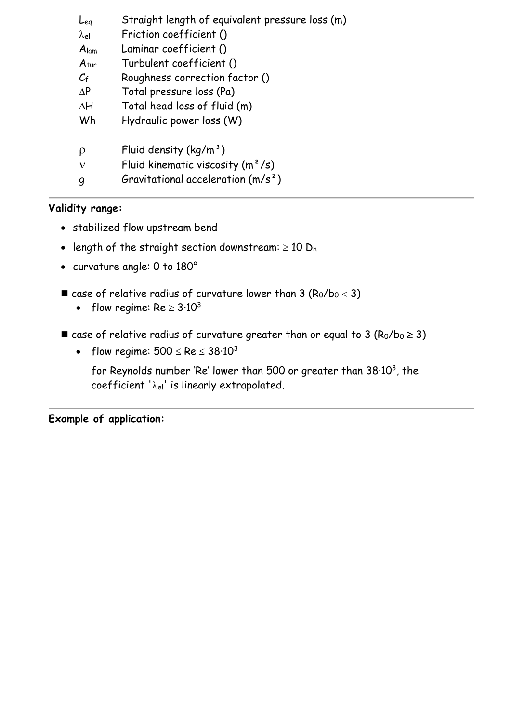| Leg              | Straight length of equivalent pressure loss (m) |
|------------------|-------------------------------------------------|
| $\lambda$ el     | Friction coefficient ()                         |
| A <sub>lam</sub> | Laminar coefficient ()                          |
| $A_{\text{tur}}$ | Turbulent coefficient ()                        |
| $C_{\rm f}$      | Roughness correction factor ()                  |
| $\Delta P$       | Total pressure loss (Pa)                        |
| $\Delta H$       | Total head loss of fluid (m)                    |
| Wh               | Hydraulic power loss (W)                        |
| ρ                | Fluid density $(kq/m^3)$                        |
| ν                | Fluid kinematic viscosity $(m^2/s)$             |
| q                | Gravitational acceleration $(m/s^2)$            |
|                  |                                                 |

## **Validity range:**

- stabilized flow upstream bend
- length of the straight section downstream:  $\geq 10$  D<sub>h</sub>
- curvature angle: 0 to 180°
- $\blacksquare$  case of relative radius of curvature lower than 3 ( $R_0/b_0 < 3$ )
	- flow regime:  $Re \geq 3.10^3$
- case of relative radius of curvature greater than or equal to 3 ( $R_0/b_0 \ge 3$ )
	- flow regime:  $500 \leq Re \leq 38.10^3$

for Reynolds number 'Re' lower than 500 or greater than  $38·10<sup>3</sup>$ , the coefficient ' $\lambda_{el}$ ' is linearly extrapolated.

**Example of application:**